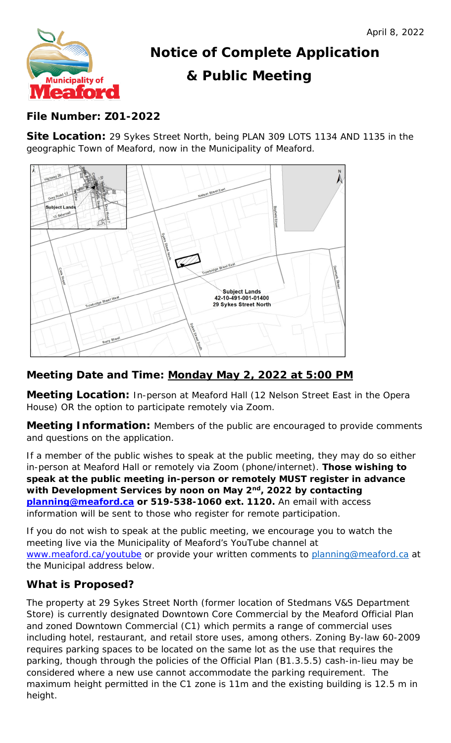

# **Notice of Complete Application & Public Meeting**

## **File Number: Z01-2022**

**Site Location:** 29 Sykes Street North, being PLAN 309 LOTS 1134 AND 1135 in the geographic Town of Meaford, now in the Municipality of Meaford.



## **Meeting Date and Time: Monday May 2, 2022 at 5:00 PM**

**Meeting Location:** In-person at Meaford Hall (12 Nelson Street East in the Opera House) OR the option to participate remotely via Zoom.

**Meeting Information:** Members of the public are encouraged to provide comments and questions on the application.

If a member of the public wishes to speak at the public meeting, they may do so either in-person at Meaford Hall or remotely via Zoom (phone/internet). **Those wishing to speak at the public meeting in-person or remotely MUST register in advance with Development Services by noon on May 2nd, 2022 by contacting [planning@meaford.ca](mailto:planning@meaford.ca) or 519-538-1060 ext. 1120.** An email with access information will be sent to those who register for remote participation.

If you do not wish to speak at the public meeting, we encourage you to watch the meeting live via the Municipality of Meaford's YouTube channel at [www.meaford.ca/youtube](http://www.meaford.ca/youtube) or provide your written comments to [planning@meaford.ca](mailto:planning@meaford.ca) at the Municipal address below.

### **What is Proposed?**

The property at 29 Sykes Street North (former location of Stedmans V&S Department Store) is currently designated Downtown Core Commercial by the Meaford Official Plan and zoned Downtown Commercial (C1) which permits a range of commercial uses including hotel, restaurant, and retail store uses, among others. Zoning By-law 60-2009 requires parking spaces to be located on the same lot as the use that requires the parking, though through the policies of the Official Plan (B1.3.5.5) cash-in-lieu may be considered where a new use cannot accommodate the parking requirement. The maximum height permitted in the C1 zone is 11m and the existing building is 12.5 m in height.